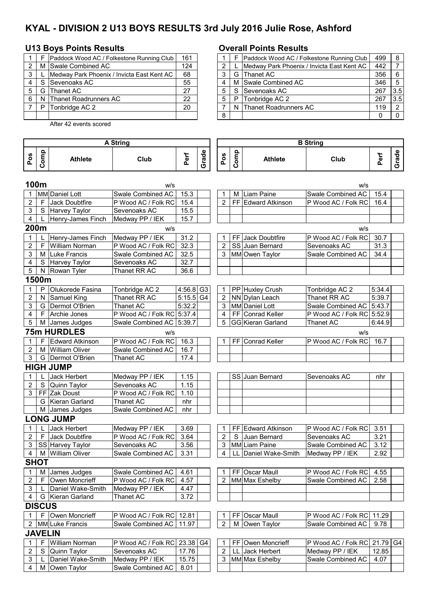# **KYAL - DIVISION 2 U13 BOYS RESULTS 3rd July 2016 Julie Rose, Ashford**

### **U13 Boys Points Results Overall Points Results**

|     | Paddock Wood AC / Folkestone Running Club  | 161 |  |   | Paddock Wood AC / Folkestone Running Club  | $499 \mid 8$ |                |
|-----|--------------------------------------------|-----|--|---|--------------------------------------------|--------------|----------------|
|     | M Swale Combined AC                        | 124 |  |   | Medway Park Phoenix / Invicta East Kent AC | 442          |                |
|     | Medway Park Phoenix / Invicta East Kent AC | 68  |  |   | G Thanet AC                                | 356          | l 6            |
|     | S Sevenoaks AC                             | 55  |  |   | M Swale Combined AC                        | 346          | - 5            |
| G I | Thanet AC                                  | 27  |  |   | S Sevenoaks AC                             | 267          | 3.5            |
|     | N Thanet Roadrunners AC                    | 22  |  | P | Tonbridge AC 2                             | 267          | 13.5           |
|     | Tonbridge AC 2                             | 20  |  |   | N Thanet Roadrunners AC                    | 119          | $\overline{2}$ |
|     |                                            |     |  |   |                                            |              | - 0            |

After 42 events scored

#### 2 | M |Swale Combined AC | 124 | | 2 | L |Medway Park Phoenix / Invicta East Kent AC | 442 | 7 3 L 68 3 G 356 6 Thanet AC 4 S Sevenoaks AC | 55 | | 4 | M |Swale Combined AC | 346 | 5 5 | G |Thanet AC | 27 | | 5 | S |Sevenoaks AC | 267 | 3.5 6 N 22 5 P 267 3.5 Tonbridge AC 2

8 0 0

|                           |                |                        | <b>A String</b>            |             | <b>B</b> String |                         |      |                      |                            |        |       |
|---------------------------|----------------|------------------------|----------------------------|-------------|-----------------|-------------------------|------|----------------------|----------------------------|--------|-------|
| Pos                       | Comp           | <b>Athlete</b>         | Club                       | Perf        | Grade           | Pos                     | Comp | <b>Athlete</b>       | Club                       | Perf   | Grade |
| 100m                      |                |                        | w/s                        |             |                 |                         |      |                      | w/s                        |        |       |
|                           |                | MM Daniel Lott         | Swale Combined AC          | 15.3        |                 |                         | м    | Liam Paine           | Swale Combined AC          | 15.4   |       |
| $\overline{c}$            | F              | Jack Doubtfire         | P Wood AC / Folk RC        | 15.4        |                 | $\overline{2}$          |      | FF Edward Atkinson   | P Wood AC / Folk RC        | 16.4   |       |
| 3                         |                | S Harvey Taylor        | Sevenoaks AC               | 15.5        |                 |                         |      |                      |                            |        |       |
| 4                         |                | Henry-James Finch      | Medway PP / IEK            | 15.7        |                 |                         |      |                      |                            |        |       |
| 200m                      |                |                        | W/S                        |             |                 |                         |      |                      | W/S                        |        |       |
| 1                         |                | Henry-James Finch      | Medway PP / IEK            | 31.2        |                 | 1                       |      | FF Jack Doubtfire    | P Wood AC / Folk RC        | 30.7   |       |
| $\mathbf 2$               | F              | <b>William Norman</b>  | P Wood AC / Folk RC        | 32.3        |                 | 2                       |      | SS Juan Bernard      | Sevenoaks AC               | 31.3   |       |
| 3                         |                | M Luke Francis         | Swale Combined AC          | 32.5        |                 | 3                       |      | MM Owen Taylor       | Swale Combined AC          | 34.4   |       |
| 4                         | S              | Harvey Taylor          | Sevenoaks AC               | 32.7        |                 |                         |      |                      |                            |        |       |
| 5                         |                | N Rowan Tyler          | Thanet RR AC               | 36.6        |                 |                         |      |                      |                            |        |       |
|                           | 1500m          |                        |                            |             |                 |                         |      |                      |                            |        |       |
| 1                         | P              | Olukorede Fasina       | Tonbridge AC 2             | $4:56.8$ G3 |                 | 1                       |      | PP Huxley Crush      | Tonbridge AC 2             | 5:34.4 |       |
| 2                         | N              | Samuel King            | Thanet RR AC               | $5:15.5$ G4 |                 | $\overline{\mathbf{c}}$ |      | NN Dylan Leach       | Thanet RR AC               | 5:39.7 |       |
| 3                         | G              | Dermot O'Brien         | <b>Thanet AC</b>           | 5:32.2      |                 | 3                       |      | MM Daniel Lott       | Swale Combined AC 5:43.7   |        |       |
| 4                         | F.             | Archie Jones           | P Wood AC / Folk RC 5:37.4 |             |                 | 4                       |      | FF Conrad Keller     | P Wood AC / Folk RC 5:52.9 |        |       |
| 5                         |                | M James Judges         | Swale Combined AC 5:39.7   |             |                 | 5                       |      | GG Kieran Garland    | Thanet AC                  | 6:44.9 |       |
|                           |                | <b>75m HURDLES</b>     | w/s                        |             |                 |                         |      |                      | W/S                        |        |       |
| 1                         |                | <b>Edward Atkinson</b> | P Wood AC / Folk RC        | 16.3        |                 | 1                       |      | FF Conrad Keller     | P Wood AC / Folk RC        | 16.7   |       |
| $\overline{c}$            |                | M William Oliver       | Swale Combined AC          | 16.7        |                 |                         |      |                      |                            |        |       |
| 3                         |                | G   Dermot O'Brien     | <b>Thanet AC</b>           | 17.4        |                 |                         |      |                      |                            |        |       |
|                           |                | <b>HIGH JUMP</b>       |                            |             |                 |                         |      |                      |                            |        |       |
|                           |                | Jack Herbert           | Medway PP / IEK            | 1.15        |                 |                         |      | SS Juan Bernard      | Sevenoaks AC               | nhr    |       |
| $\mathbf 2$               | S              | Quinn Taylor           | Sevenoaks AC               | 1.15        |                 |                         |      |                      |                            |        |       |
| 3                         |                | FF Zak Doust           | P Wood AC / Folk RC        | 1.10        |                 |                         |      |                      |                            |        |       |
|                           | G              | Kieran Garland         | <b>Thanet AC</b>           | nhr         |                 |                         |      |                      |                            |        |       |
|                           |                | M James Judges         | Swale Combined AC          | nhr         |                 |                         |      |                      |                            |        |       |
|                           |                | <b>LONG JUMP</b>       |                            |             |                 |                         |      |                      |                            |        |       |
| 1                         |                | Jack Herbert           | Medway PP / IEK            | 3.69        |                 | 1                       |      | FF Edward Atkinson   | P Wood AC / Folk RC        | 3.51   |       |
| $\overline{\mathbf{c}}$   | F              | Jack Doubtfire         | P Wood AC / Folk RC        | 3.64        |                 | $\overline{\mathbf{c}}$ | S    | Juan Bernard         | Sevenoaks AC               | 3.21   |       |
| 3                         |                | SS Harvey Taylor       | Sevenoaks AC               | 3.56        |                 | 3                       |      | MM Liam Paine        | Swale Combined AC          | 3.12   |       |
| 4                         |                | M William Oliver       | Swale Combined AC          | 3.31        |                 | $\overline{4}$          |      | LL Daniel Wake-Smith | Medway PP / IEK            | 2.92   |       |
|                           | <b>SHOT</b>    |                        |                            |             |                 |                         |      |                      |                            |        |       |
| 1                         | М              | James Judges           | Swale Combined AC          | 4.61        |                 |                         |      | FF Oscar Maull       | P Wood AC / Folk RC        | 4.55   |       |
| $\boldsymbol{2}$          | F              | Owen Moncrieff         | P Wood AC / Folk RC        | 4.57        |                 | $\overline{2}$          |      | MM Max Eshelby       | Swale Combined AC          | 2.58   |       |
| $\ensuremath{\mathsf{3}}$ |                | Daniel Wake-Smith      | Medway PP / IEK            | 4.47        |                 |                         |      |                      |                            |        |       |
| 4                         | G              | Kieran Garland         | Thanet AC                  | 3.72        |                 |                         |      |                      |                            |        |       |
|                           | <b>DISCUS</b>  |                        |                            |             |                 |                         |      |                      |                            |        |       |
| 1                         |                | F Owen Moncrieff       | P Wood AC / Folk RC        | 12.81       |                 | 1                       | FF   | <b>Oscar Maull</b>   | P Wood AC / Folk RC        | 11.29  |       |
| $\overline{2}$            |                | MM Luke Francis        | Swale Combined AC          | 11.97       |                 | $\overline{2}$          |      | M Owen Taylor        | Swale Combined AC          | 9.78   |       |
|                           | <b>JAVELIN</b> |                        |                            |             |                 |                         |      |                      |                            |        |       |
| 1                         | F              | <b>William Norman</b>  | P Wood AC / Folk RC        | 23.38       | G4              | 1                       |      | FF Owen Moncrieff    | P Wood AC / Folk RC        | 21.79  | G4    |
| 2                         | $\mathbf S$    | Quinn Taylor           | Sevenoaks AC               | 17.76       |                 | $\overline{c}$          | LL   | <b>Jack Herbert</b>  | Medway PP / IEK            | 12.85  |       |
| 3                         |                | Daniel Wake-Smith      | Medway PP / IEK            | 15.75       |                 | $\mathsf 3$             |      | MM Max Eshelby       | Swale Combined AC          | 4.07   |       |
| 4                         |                | M Owen Taylor          | Swale Combined AC          | 8.01        |                 |                         |      |                      |                            |        |       |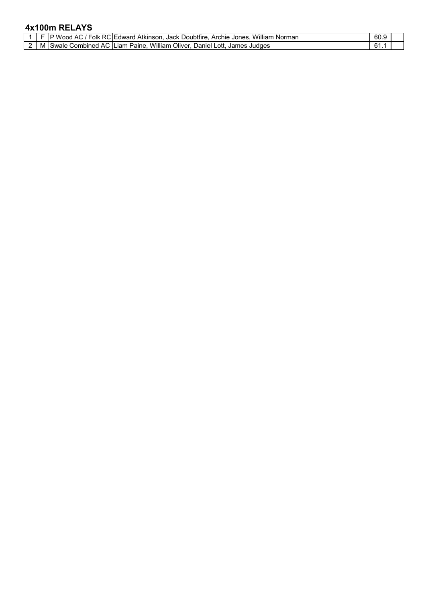## **4x100m RELAYS**

|   | Folk<br>RC.<br>A (<br>wood         | William<br>Norman<br>Jack Doubtfire<br>. Atkinson<br>Archie<br>C:I⊢dward⊣<br>Jones | 60.9                  |  |
|---|------------------------------------|------------------------------------------------------------------------------------|-----------------------|--|
| M | ∴ombined<br>Swale.<br>$\mathbf{A}$ | William<br>Oliver.<br>Paine.<br>Daniel.<br>nti<br><b>ILiam</b><br>James<br>Judaes  | $\mathsf{R}'$<br>O I. |  |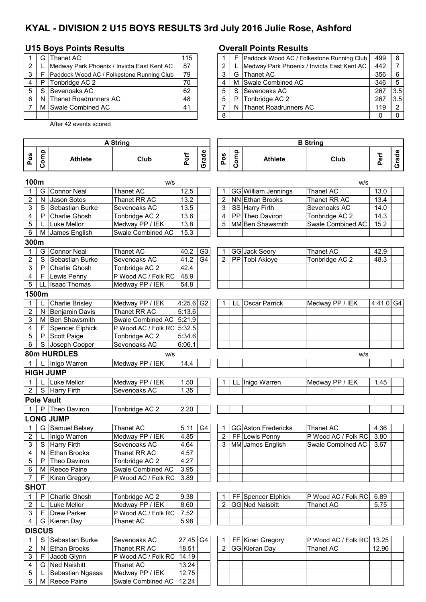# **KYAL - DIVISION 2 U15 BOYS RESULTS 3rd July 2016 Julie Rose, Ashford**

## **U15 Boys Points Results Overall Points Results**

|   | G Thanet AC                                | 115 |   |    | Paddock Wood AC / Folke  |
|---|--------------------------------------------|-----|---|----|--------------------------|
|   | Medway Park Phoenix / Invicta East Kent AC | 87  |   |    | Medway Park Phoenix / Ir |
| 3 | Paddock Wood AC / Folkestone Running Club  | 79  | 3 |    | G Thanet AC              |
|   | P   Tonbridge AC 2                         | 70  |   |    | M Swale Combined AC      |
| 5 | S Sevenoaks AC                             | 62  | 5 | S. | Sevenoaks AC             |
| 6 | N Thanet Roadrunners AC                    | 48  | 5 | P  | Tonbridge AC 2           |
|   | M Swale Combined AC                        | 41  |   |    | Thanet Roadrunners AC    |
|   |                                            |     | 8 |    |                          |

6 M Reece Paine Swale Combined AC 12.24

After 42 events scored

|              | G   | Thanet AC                                  | 115 |   |   | Paddock Wood AC / Folkestone Running Club  | 499 | - 8 |
|--------------|-----|--------------------------------------------|-----|---|---|--------------------------------------------|-----|-----|
| $\mathbf{2}$ |     | Medway Park Phoenix / Invicta East Kent AC | 87  |   |   | Medway Park Phoenix / Invicta East Kent AC | 442 |     |
| 3 I          |     | Paddock Wood AC / Folkestone Running Club  | 79  |   |   | G Thanet AC                                | 356 | - 6 |
| 4            | P   | Tonbridge AC 2                             | 70  |   |   | M Swale Combined AC                        | 346 | -5  |
| 5            | - S | Sevenoaks AC                               | 62  |   |   | S Sevenoaks AC                             | 267 | 3.5 |
| 6            | N   | <b>Thanet Roadrunners AC</b>               | 48  | 5 | P | Tonbridge AC 2                             | 267 | 3.5 |
|              |     | M Swale Combined AC                        | 41  |   |   | N Thanet Roadrunners AC                    | 119 | -2  |
|              |     |                                            |     | 8 |   |                                            |     |     |

|                |               |                        | <b>A String</b>     |             |                |                |              |                        | <b>B</b> String     |           |       |
|----------------|---------------|------------------------|---------------------|-------------|----------------|----------------|--------------|------------------------|---------------------|-----------|-------|
| Pos            | Comp          | <b>Athlete</b>         | Club                | Perf        | Grade          | Pos            | Comp         | <b>Athlete</b>         | Club                | Perf      | Grade |
| 100m           |               |                        | w/s                 |             |                |                |              |                        | w/s                 |           |       |
| 1              | G             | <b>Connor Neal</b>     | Thanet AC           | 12.5        |                |                |              | GG William Jennings    | Thanet AC           | 13.0      |       |
| 2              | N             | Jason Sotos            | Thanet RR AC        | 13.2        |                | $\overline{2}$ |              | NN Ethan Brooks        | Thanet RR AC        | 13.4      |       |
| 3              | S             | Sebastian Burke        | Sevenoaks AC        | 13.5        |                | 3              |              | SS Harry Firth         | Sevenoaks AC        | 14.0      |       |
| 4              | P             | Charlie Ghosh          | Tonbridge AC 2      | 13.6        |                | $\overline{4}$ |              | PP Theo Daviron        | Tonbridge AC 2      | 14.3      |       |
| 5              | L             | <b>Luke Mellor</b>     | Medway PP / IEK     | 13.8        |                | 5              |              | MM Ben Shawsmith       | Swale Combined AC   | 15.2      |       |
| 6              | М             | James English          | Swale Combined AC   | 15.3        |                |                |              |                        |                     |           |       |
| 300m           |               |                        |                     |             |                |                |              |                        |                     |           |       |
|                | G             | <b>Connor Neal</b>     | Thanet AC           | 40.2        | G <sub>3</sub> | 1              |              | GG Jack Seery          | Thanet AC           | 42.9      |       |
| 2              | S             | Sebastian Burke        | Sevenoaks AC        | 41.2        | G <sub>4</sub> | 2              |              | PP Tobi Akioye         | Tonbridge AC 2      | 48.3      |       |
| 3              | ${\sf P}$     | Charlie Ghosh          | Tonbridge AC 2      | 42.4        |                |                |              |                        |                     |           |       |
| 4              | $\mathsf F$   | Lewis Penny            | P Wood AC / Folk RC | 48.9        |                |                |              |                        |                     |           |       |
| 5              | LL            | <b>Isaac Thomas</b>    | Medway PP / IEK     | 54.8        |                |                |              |                        |                     |           |       |
|                | 1500m         |                        |                     |             |                |                |              |                        |                     |           |       |
| 1              |               | <b>Charlie Brisley</b> | Medway PP / IEK     | $4:25.6$ G2 |                | 1              | $\mathbf{H}$ | <b>Oscar Parrick</b>   | Medway PP / IEK     | 4:41.0 G4 |       |
| 2              | N.            | <b>Benjamin Davis</b>  | Thanet RR AC        | 5:13.6      |                |                |              |                        |                     |           |       |
| 3              | м             | <b>Ben Shawsmith</b>   | Swale Combined AC   | 5:21.9      |                |                |              |                        |                     |           |       |
| 4              | F             | Spencer Elphick        | P Wood AC / Folk RC | 5:32.5      |                |                |              |                        |                     |           |       |
| 5              | P             | Scott Paige            | Tonbridge AC 2      | 5:34.6      |                |                |              |                        |                     |           |       |
| 6              | S             | Joseph Cooper          | Sevenoaks AC        | 6:06.1      |                |                |              |                        |                     |           |       |
|                |               | 80m HURDLES            | W/S                 |             |                |                |              |                        | w/s                 |           |       |
|                |               | Inigo Warren           | Medway PP / IEK     | 14.4        |                |                |              |                        |                     |           |       |
|                |               | <b>HIGH JUMP</b>       |                     |             |                |                |              |                        |                     |           |       |
| 1              | L             | Luke Mellor            | Medway PP / IEK     | 1.50        |                | 1              | LL           | Inigo Warren           | Medway PP / IEK     | 1.45      |       |
| $\overline{2}$ |               | S Harry Firth          | Sevenoaks AC        | 1.35        |                |                |              |                        |                     |           |       |
|                |               | <b>Pole Vault</b>      |                     |             |                |                |              |                        |                     |           |       |
| $\mathbf{1}$   | P             | Theo Daviron           | Tonbridge AC 2      | 2.20        |                |                |              |                        |                     |           |       |
|                |               | <b>LONG JUMP</b>       |                     |             |                |                |              |                        |                     |           |       |
| 1              |               | G Samuel Belsey        | <b>Thanet AC</b>    | 5.11        | G4             | $\mathbf 1$    |              | GG Aston Fredericks    | <b>Thanet AC</b>    | 4.36      |       |
| 2              | L             | Inigo Warren           | Medway PP / IEK     | 4.85        |                | $\overline{2}$ |              | FF Lewis Penny         | P Wood AC / Folk RC | 3.80      |       |
| 3              | S             | Harry Firth            | Sevenoaks AC        | 4.64        |                | 3              |              | MM James English       | Swale Combined AC   | 3.67      |       |
| 4              | N             | <b>Ethan Brooks</b>    | Thanet RR AC        | 4.57        |                |                |              |                        |                     |           |       |
| 5              | P             | Theo Daviron           | Tonbridge AC 2      | 4.27        |                |                |              |                        |                     |           |       |
| 6              | M             | Reece Paine            | Swale Combined AC   | 3.95        |                |                |              |                        |                     |           |       |
| 7              | F             | Kiran Gregory          | P Wood AC / Folk RC | 3.89        |                |                |              |                        |                     |           |       |
| <b>SHOT</b>    |               |                        |                     |             |                |                |              |                        |                     |           |       |
| 1              | P             | Charlie Ghosh          | Tonbridge AC 2      | 9.38        |                |                |              | FF Spencer Elphick     | P Wood AC / Folk RC | 6.89      |       |
| 2              |               | Luke Mellor            | Medway PP / IEK     | 8.60        |                | 2              |              | <b>GG Ned Naisbitt</b> | Thanet AC           | 5.75      |       |
| 3              | F.            | <b>Drew Parker</b>     | P Wood AC / Folk RC | 7.52        |                |                |              |                        |                     |           |       |
| 4              | G             | Kieran Day             | Thanet AC           | 5.98        |                |                |              |                        |                     |           |       |
|                | <b>DISCUS</b> |                        |                     |             |                |                |              |                        |                     |           |       |
| 1              | $\mathbf S$   | Sebastian Burke        | Sevenoaks AC        | 27.45 G4    |                | 1              |              | FF Kiran Gregory       | P Wood AC / Folk RC | 13.25     |       |
| 2              | N             | <b>Ethan Brooks</b>    | Thanet RR AC        | 18.51       |                | 2              |              | GG Kieran Day          | Thanet AC           | 12.96     |       |
| 3              | F.            | Jacob Glynn            | P Wood AC / Folk RC | 14.19       |                |                |              |                        |                     |           |       |
| 4              | G             | Ned Naisbitt           | Thanet AC           | 13.24       |                |                |              |                        |                     |           |       |
| $\sqrt{5}$     |               | Sebastian Ngassa       | Medway PP / IEK     | 12.75       |                |                |              |                        |                     |           |       |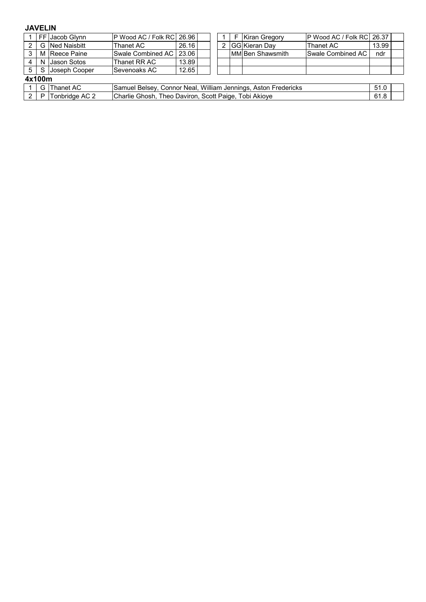#### **JAVELIN**

|                      |                | FF Jacob Glynn  | P Wood AC / Folk RC 26.96 |                                                                        |  |  |  | <b>Kiran Gregory</b> | P Wood AC / Folk RC 26.37 |       |  |  |  |
|----------------------|----------------|-----------------|---------------------------|------------------------------------------------------------------------|--|--|--|----------------------|---------------------------|-------|--|--|--|
| 2                    |                | G Ned Naisbitt  | Thanet AC                 | 26.16                                                                  |  |  |  | GG Kieran Day        | Thanet AC                 | 13.99 |  |  |  |
|                      |                | M Reece Paine   | Swale Combined AC   23.06 |                                                                        |  |  |  | IMMIBen Shawsmith    | <b>Swale Combined AC</b>  | ndr   |  |  |  |
|                      |                | N IJason Sotos  | Thanet RR AC              | 13.89                                                                  |  |  |  |                      |                           |       |  |  |  |
| 5 <sup>5</sup>       |                | S Joseph Cooper | Sevenoaks AC              | 12.65                                                                  |  |  |  |                      |                           |       |  |  |  |
|                      | 4x100m         |                 |                           |                                                                        |  |  |  |                      |                           |       |  |  |  |
|                      | G I            | Thanet AC       |                           | Samuel Belsey, Connor Neal, William Jennings, Aston Fredericks<br>51.0 |  |  |  |                      |                           |       |  |  |  |
| $\mathbf{2}^{\circ}$ | P <sub>1</sub> | Tonbridge AC 2  |                           | Charlie Ghosh, Theo Daviron, Scott Paige, Tobi Akioye<br>61.8          |  |  |  |                      |                           |       |  |  |  |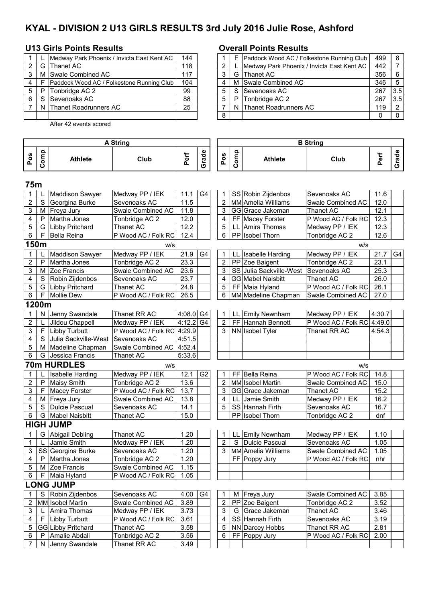# **KYAL - DIVISION 2 U13 GIRLS RESULTS 3rd July 2016 Julie Rose, Ashford**

### **U13 Girls Points Results Overall Points Results**

|   |    | Medway Park Phoenix / Invicta East Kent AC | 144 |   |   | Paddock Wood AC / Folke  |
|---|----|--------------------------------------------|-----|---|---|--------------------------|
|   | G. | Thanet AC                                  | 118 |   |   | Medway Park Phoenix / Ir |
|   |    | M Swale Combined AC                        | 117 | 3 |   | G Thanet AC              |
| 4 |    | Paddock Wood AC / Folkestone Running Club  | 104 |   |   | M Swale Combined AC      |
| 5 | P  | Tonbridge AC 2                             | 99  | 5 | S | Sevenoaks AC             |
| 6 |    | Sevenoaks AC                               | 88  | 5 | P | Tonbridge AC 2           |
|   |    | N Thanet Roadrunners AC                    | 25  |   |   | Thanet Roadrunners AC    |
|   |    |                                            |     | 8 |   |                          |

After 42 events scored

|       |    | Medway Park Phoenix / Invicta East Kent AC | 144 |   |   | Paddock Wood AC / Folkestone Running Club  | 499 | -8  |
|-------|----|--------------------------------------------|-----|---|---|--------------------------------------------|-----|-----|
| 2 I   | G  | Thanet AC                                  | 118 |   |   | Medway Park Phoenix / Invicta East Kent AC | 442 |     |
| 3     | м  | Swale Combined AC                          | 117 |   |   | G Thanet AC                                | 356 | - 6 |
| 4     |    | Paddock Wood AC / Folkestone Running Club  | 104 |   |   | M Swale Combined AC                        | 346 | -5  |
| 5   P |    | Tonbridge AC 2                             | 99  |   |   | S Sevenoaks AC                             | 267 | 3.5 |
| 6     | -S | Sevenoaks AC                               | 88  | 5 | P | Tonbridge AC 2                             | 267 | 3.5 |
|       |    | N Thanet Roadrunners AC                    | 25  |   |   | N Thanet Roadrunners AC                    | 119 | -2  |
|       |    |                                            |     | 8 |   |                                            |     |     |

|                         |       |                         | <b>A String</b>            |             |                |                |                                      |                           |                            |        |       |
|-------------------------|-------|-------------------------|----------------------------|-------------|----------------|----------------|--------------------------------------|---------------------------|----------------------------|--------|-------|
| Pos                     | Comp  | <b>Athlete</b>          | Club                       | Perf        | Grade          | Pos            | Comp                                 | <b>Athlete</b>            | Club                       | Perf   | Grade |
| 75m                     |       |                         |                            |             |                |                |                                      |                           |                            |        |       |
| $\mathbf 1$             |       | <b>Maddison Sawyer</b>  | Medway PP / IEK            | 11.1        | G4             | 1              |                                      | SS Robin Zijdenbos        | Sevenoaks AC               | 11.6   |       |
| $\overline{2}$          | S     | Georgina Burke          | Sevenoaks AC               | 11.5        |                | 2              |                                      | <b>MM</b> Amelia Williams | Swale Combined AC          | 12.0   |       |
| 3                       |       | M Freya Jury            | Swale Combined AC          | 11.8        |                | 3              |                                      | GG Grace Jakeman          | Thanet AC                  | 12.1   |       |
| 4                       | P     | Martha Jones            | Tonbridge AC 2             | 12.0        |                | 4              |                                      | FF Macey Forster          | P Wood AC / Folk RC        | 12.3   |       |
| 5                       | G     | <b>Libby Pritchard</b>  | <b>Thanet AC</b>           | 12.2        |                | 5              | LL                                   | Amira Thomas              | Medway PP / IEK            | 12.3   |       |
| 6                       | F     | Bella Reina             | P Wood AC / Folk RC        | 12.4        |                | 6              |                                      | PP Isobel Thorn           | Tonbridge AC 2             | 12.6   |       |
|                         | 150m  |                         | w/s                        |             |                |                |                                      |                           | w/s                        |        |       |
| $\mathbf{1}$            |       | Maddison Sawyer         | Medway PP / IEK            | 21.9        | G4             | 1              | LL                                   | Isabelle Harding          | Medway PP / IEK            | 21.7   | G4    |
| $\overline{c}$          | P     | Martha Jones            | Tonbridge AC 2             | 23.3        |                | $\overline{2}$ |                                      | PP Zoe Baigent            | Tonbridge AC 2             | 23.1   |       |
| 3                       |       | M Zoe Francis           | Swale Combined AC          | 23.6        |                | 3              |                                      | SS Julia Sackville-West   | Sevenoaks AC               | 25.3   |       |
| 4                       | S     | Robin Zijdenbos         | Sevenoaks AC               | 23.7        |                | 4              |                                      | <b>GG Mabel Naisbitt</b>  | <b>Thanet AC</b>           | 26.0   |       |
| 5                       | G     | <b>Libby Pritchard</b>  | <b>Thanet AC</b>           | 24.8        |                | 5              |                                      | FF Maia Hyland            | P Wood AC / Folk RC        | 26.1   |       |
| 6                       | F     | <b>Mollie Dew</b>       | P Wood AC / Folk RC        | 26.5        |                | 6              |                                      | MM Madeline Chapman       | Swale Combined AC          | 27.0   |       |
|                         | 1200m |                         |                            |             |                |                |                                      |                           |                            |        |       |
| $\mathbf 1$             | N     | Jenny Swandale          | Thanet RR AC               | $4:08.0$ G4 |                | 1              | LL                                   | <b>Emily Newnham</b>      | Medway PP / IEK            | 4:30.7 |       |
| $\overline{2}$          |       | Jildou Chappell         | Medway PP / IEK            | 4:12.2      | G4             | $\overline{2}$ |                                      | FF Hannah Bennett         | P Wood AC / Folk RC 4:49.0 |        |       |
| 3                       | F.    | <b>Libby Turbutt</b>    | P Wood AC / Folk RC 4:29.9 | 3<br>4:51.5 |                |                | NN Isobel Tyler                      | Thanet RR AC              | 4:54.3                     |        |       |
| 4                       | S     | Julia Sackville-West    | Sevenoaks AC               |             |                |                |                                      |                           |                            |        |       |
| 5                       |       | M   Madeline Chapman    | Swale Combined AC 4:52.4   |             |                |                |                                      |                           |                            |        |       |
| 6                       | G     | Jessica Francis         | Thanet AC                  | 5:33.6      |                |                |                                      |                           |                            |        |       |
|                         |       | 70m HURDLES             | w/s                        |             |                |                |                                      |                           | w/s                        |        |       |
| $\mathbf 1$             |       | <b>Isabelle Harding</b> | Medway PP / IEK            | 12.1        | G <sub>2</sub> | 1              |                                      | FF Bella Reina            | P Wood AC / Folk RC        | 14.8   |       |
| $\overline{2}$          | P     | <b>Maisy Smith</b>      | Tonbridge AC 2             | 13.6        |                | $\overline{2}$ |                                      | MM Isobel Martin          | Swale Combined AC          | 15.0   |       |
| 3                       | F     | Macey Forster           | P Wood AC / Folk RC        | 13.7        |                | 3              |                                      | GG Grace Jakeman          | Thanet AC                  | 15.2   |       |
| 4                       |       | M Freya Jury            | Swale Combined AC          | 13.8        |                | 4              |                                      | LL Jamie Smith            | Medway PP / IEK            | 16.2   |       |
| 5                       | S     | <b>Dulcie Pascual</b>   | Sevenoaks AC               | 14.1        |                | 5              |                                      | SS Hannah Firth           | Sevenoaks AC               | 16.7   |       |
| 6                       | G     | <b>Mabel Naisbitt</b>   | Thanet AC                  | 15.0        |                |                |                                      | PP Isobel Thorn           | Tonbridge AC 2             | dnf    |       |
|                         |       | <b>HIGH JUMP</b>        |                            |             |                |                |                                      |                           |                            |        |       |
| $\mathbf 1$             |       | G Abigail Debling       | Thanet AC                  | 1.20        |                | 1              | LL                                   | Emily Newnham             | Medway PP / IEK            | 1.10   |       |
| $\mathbf{1}$            | L     | Jamie Smith             | Medway PP / IEK            | 1.20        |                | $\overline{2}$ | S                                    | <b>Dulcie Pascual</b>     | Sevenoaks AC               | 1.05   |       |
| 3                       |       | SS Georgina Burke       | Sevenoaks AC               | 1.20        |                | 3              |                                      | MM Amelia Williams        | Swale Combined AC          | 1.05   |       |
| 4                       | P     | Martha Jones            | Tonbridge AC 2             | 1.20        |                |                |                                      | FF Poppy Jury             | P Wood AC / Folk RC        | nhr    |       |
| 5                       |       | M Zoe Francis           | Swale Combined AC          | 1.15        |                |                |                                      |                           |                            |        |       |
| 6                       | F     | Maia Hyland             | P Wood AC / Folk RC        | 1.05        |                |                |                                      |                           |                            |        |       |
|                         |       | <b>LONG JUMP</b>        |                            |             |                |                |                                      |                           |                            |        |       |
| 1                       | S     | Robin Zijdenbos         | Sevenoaks AC               | 4.00        | G4             | 1              | M                                    | Freya Jury                | Swale Combined AC          | 3.85   |       |
| 2                       |       | MM Isobel Martin        | Swale Combined AC          | 3.89        |                | 2              |                                      | PP Zoe Baigent            | Tonbridge AC 2             | 3.52   |       |
| 3                       |       | Amira Thomas            | Medway PP / IEK            | 3.73        |                | 3              |                                      | G Grace Jakeman           | Thanet AC                  | 3.46   |       |
| $\overline{\mathbf{4}}$ | F     | Libby Turbutt           | P Wood AC / Folk RC        | 3.61        |                | 4              |                                      | SS Hannah Firth           | Sevenoaks AC               | 3.19   |       |
| 5                       |       | GG Libby Pritchard      | <b>Thanet AC</b>           | 3.58        |                | 5              |                                      | NN Darcey Hobbs           | Thanet RR AC               | 2.81   |       |
| 6                       | P     | Amalie Abdali           | Tonbridge AC 2             | 3.56        |                | 6              | FF Poppy Jury<br>P Wood AC / Folk RC |                           | 2.00                       |        |       |
| $\overline{7}$          | N.    | Jenny Swandale          | Thanet RR AC               | 3.49        |                |                |                                      |                           |                            |        |       |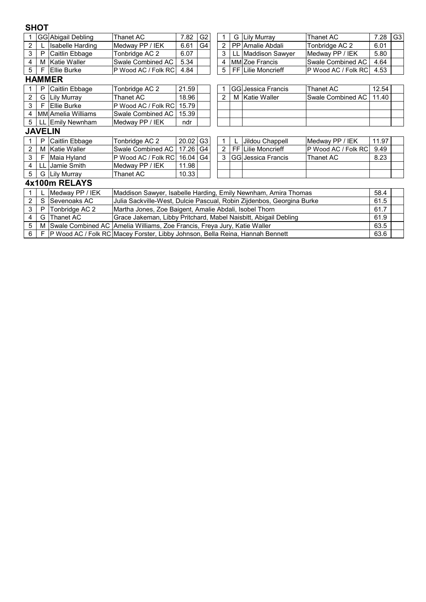## **SHOT**

|                |    | <b>GG</b> Abigail Debling | Thanet AC                                                                        | 7.82  | G <sub>2</sub> |  |   | 7.28 | G <sub>3</sub>            |                     |       |  |
|----------------|----|---------------------------|----------------------------------------------------------------------------------|-------|----------------|--|---|------|---------------------------|---------------------|-------|--|
| 2              |    | Isabelle Harding          | Medway PP / IEK                                                                  | 6.61  | G <sub>4</sub> |  | 2 |      | PP Amalie Abdali          | Tonbridge AC 2      | 6.01  |  |
| 3              | P  | Caitlin Ebbage            | Tonbridge AC 2                                                                   | 6.07  |                |  | 3 | LL   | <b>Maddison Sawyer</b>    | Medway PP / IEK     | 5.80  |  |
| 4              | M  | <b>Katie Waller</b>       | Swale Combined AC                                                                | 5.34  |                |  | 4 |      | <b>MMIZoe Francis</b>     | Swale Combined AC   | 4.64  |  |
| 5              | F  | Ellie Burke               | P Wood AC / Folk RC                                                              | 4.84  |                |  | 5 |      | <b>FF Lilie Moncrieff</b> | P Wood AC / Folk RC | 4.53  |  |
|                |    | <b>HAMMER</b>             |                                                                                  |       |                |  |   |      |                           |                     |       |  |
|                | Ρ  | Caitlin Ebbage            | Tonbridge AC 2                                                                   | 21.59 |                |  |   |      | GG Jessica Francis        | Thanet AC           | 12.54 |  |
| 2              | G  | <b>Lily Murray</b>        | 18.96<br>Thanet AC<br>2<br>Katie Waller<br>Swale Combined AC<br>11.40<br>м       |       |                |  |   |      |                           |                     |       |  |
| 3              | F  | Ellie Burke               | P Wood AC / Folk RC<br>15.79                                                     |       |                |  |   |      |                           |                     |       |  |
| 4              |    | <b>MM</b> Amelia Williams | Swale Combined AC<br>15.39                                                       |       |                |  |   |      |                           |                     |       |  |
| 5              | LL | <b>Emily Newnham</b>      | Medway PP / IEK                                                                  | ndr   |                |  |   |      |                           |                     |       |  |
| <b>JAVELIN</b> |    |                           |                                                                                  |       |                |  |   |      |                           |                     |       |  |
|                | P  | Caitlin Ebbage            | Tonbridge AC 2                                                                   | 20.02 | G <sub>3</sub> |  |   |      | Jildou Chappell           | Medway PP / IEK     | 11.97 |  |
| 2              | M  | <b>Katie Waller</b>       | Swale Combined AC                                                                | 17.26 | G4             |  | 2 |      | FF Lilie Moncrieff        | P Wood AC / Folk RC | 9.49  |  |
| 3              | F  | Maia Hyland               | P Wood AC / Folk RC                                                              | 16.04 | G4             |  | 3 |      | GG Jessica Francis        | Thanet AC           | 8.23  |  |
| 4              |    | Jamie Smith               | Medway PP / IEK                                                                  | 11.98 |                |  |   |      |                           |                     |       |  |
| 5              | G  | <b>Lily Murray</b>        | Thanet AC                                                                        | 10.33 |                |  |   |      |                           |                     |       |  |
|                |    | 4x100m RELAYS             |                                                                                  |       |                |  |   |      |                           |                     |       |  |
|                |    | Medway PP / IEK           | 58.4<br>Maddison Sawyer, Isabelle Harding, Emily Newnham, Amira Thomas           |       |                |  |   |      |                           |                     |       |  |
| $\overline{2}$ | S  | Sevenoaks AC              | Julia Sackville-West, Dulcie Pascual, Robin Zijdenbos, Georgina Burke            |       |                |  |   |      |                           |                     | 61.5  |  |
| 3              | P  | Tonbridge AC 2            | Martha Jones, Zoe Baigent, Amalie Abdali, Isobel Thorn                           |       |                |  |   |      |                           |                     | 61.7  |  |
| 4              | G  | Thanet AC                 | Grace Jakeman, Libby Pritchard, Mabel Naisbitt, Abigail Debling                  |       |                |  |   |      |                           |                     | 61.9  |  |
| 5              | M  |                           | 63.5<br>Swale Combined AC Amelia Williams, Zoe Francis, Freya Jury, Katie Waller |       |                |  |   |      |                           |                     |       |  |

6 F P Wood AC / Folk RC Macey Forster, Libby Johnson, Bella Reina, Hannah Bennett | 63.6 Macey Forster, Libby Johnson, Bella Reina, Hannah Bennett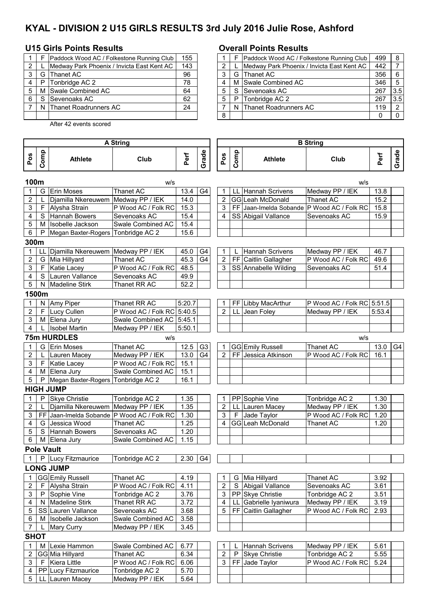# **KYAL - DIVISION 2 U15 GIRLS RESULTS 3rd July 2016 Julie Rose, Ashford**

## **U15 Girls Points Results Overall Points Results**

|   |   | Paddock Wood AC / Folkestone Running Club  | 155 |   |   | Paddock Wood AC / Folke  |
|---|---|--------------------------------------------|-----|---|---|--------------------------|
| 2 |   | Medway Park Phoenix / Invicta East Kent AC | 143 |   |   | Medway Park Phoenix / Ir |
|   |   | G Thanet AC                                | 96  | 3 |   | G Thanet AC              |
| 4 | P | Tonbridge AC 2                             | 78  |   |   | M Swale Combined AC      |
| 5 |   | M Swale Combined AC                        | 64  | 5 |   | Sevenoaks AC             |
| 6 |   | Sevenoaks AC                               | 62  | 5 | P | Tonbridge AC 2           |
|   |   | N Thanet Roadrunners AC                    | 24  |   | N | Thanet Roadrunners AC    |
|   |   |                                            |     | 8 |   |                          |

5 LL Lauren Macey Medway PP / IEK 5.64

After 42 events scored

|              |   | Paddock Wood AC / Folkestone Running Club  | 155 |   |   | Paddock Wood AC / Folkestone Running Club  | 499 | -8  |
|--------------|---|--------------------------------------------|-----|---|---|--------------------------------------------|-----|-----|
| $\mathbf{2}$ |   | Medway Park Phoenix / Invicta East Kent AC | 143 |   |   | Medway Park Phoenix / Invicta East Kent AC | 442 |     |
| 3            | G | Thanet AC                                  | 96  |   |   | G Thanet AC                                | 356 | - 6 |
| 4            | P | Tonbridge AC 2                             | 78  |   |   | M Swale Combined AC                        | 346 | -5  |
| 5            | M | Swale Combined AC                          | 64  |   |   | S Sevenoaks AC                             | 267 | 3.5 |
| 6            | S | Sevenoaks AC                               | 62  | 5 | P | Tonbridge AC 2                             | 267 | 3.5 |
|              |   | N Thanet Roadrunners AC                    | 24  |   |   | N Thanet Roadrunners AC                    | 119 | -2  |
|              |   |                                            |     | 8 |   |                                            |     |     |

| <b>A String</b> |       |                                            |                            |        | <b>B</b> String |                         |      |                        |                            |        |       |
|-----------------|-------|--------------------------------------------|----------------------------|--------|-----------------|-------------------------|------|------------------------|----------------------------|--------|-------|
|                 |       |                                            |                            |        |                 |                         |      |                        |                            |        |       |
| Pos             | Comp  | <b>Athlete</b>                             | Club                       | Perf   | Grade           | Pos                     | Comp | <b>Athlete</b>         | Club                       | Perf   | Grade |
| 100m            |       |                                            | w/s                        |        |                 |                         |      |                        | W/S                        |        |       |
|                 | G     | Erin Moses                                 | Thanet AC                  | 13.4   | G <sub>4</sub>  | 1                       |      | LL Hannah Scrivens     | Medway PP / IEK            | 13.8   |       |
| $\overline{c}$  | L     | Djamilla Nkereuwem                         | Medway PP / IEK            | 14.0   |                 | $\overline{\mathbf{c}}$ |      | GG Leah McDonald       | <b>Thanet AC</b>           | 15.2   |       |
| 3               | F.    | Alysha Strain                              | P Wood AC / Folk RC        | 15.3   |                 | 3                       |      | FF Jaan-Imelda Sobande | P Wood AC / Folk RC        | 15.8   |       |
| 4               |       | S Hannah Bowers                            | Sevenoaks AC               | 15.4   |                 | 4                       |      | SS Abigail Vallance    | Sevenoaks AC               | 15.9   |       |
| 5               | м     | Isobelle Jackson                           | Swale Combined AC          | 15.4   |                 |                         |      |                        |                            |        |       |
| 6               | P     | Megan Baxter-Rogers Tonbridge AC 2         |                            | 15.6   |                 |                         |      |                        |                            |        |       |
| 300m            |       |                                            |                            |        |                 |                         |      |                        |                            |        |       |
| $\mathbf{1}$    | LL    | Djamilla Nkereuwem Medway PP / IEK         |                            | 45.0   | G4              | 1                       |      | Hannah Scrivens        | Medway PP / IEK            | 46.7   |       |
| $\mathbf 2$     |       | G Mia Hillyard                             | Thanet AC                  | 45.3   | G <sub>4</sub>  | $\overline{2}$          |      | FF Caitlin Gallagher   | P Wood AC / Folk RC        | 49.6   |       |
| 3               | F.    | <b>Katie Lacey</b>                         | P Wood AC / Folk RC        | 48.5   |                 | 3                       |      | SS Annabelle Wilding   | Sevenoaks AC               | 51.4   |       |
| 4               | S.    | Lauren Vallance                            | Sevenoaks AC               | 49.9   |                 |                         |      |                        |                            |        |       |
| 5               | N.    | <b>Madeline Stirk</b>                      | Thanet RR AC               | 52.2   |                 |                         |      |                        |                            |        |       |
|                 | 1500m |                                            |                            |        |                 |                         |      |                        |                            |        |       |
|                 | N.    | Amy Piper                                  | Thanet RR AC               | 5:20.7 |                 | 1                       |      | FF Libby MacArthur     | P Wood AC / Folk RC 5:51.5 |        |       |
| $\overline{2}$  |       | F Lucy Cullen                              | P Wood AC / Folk RC 5:40.5 |        |                 | $\overline{2}$          |      | LL Jean Foley          | Medway PP / IEK            | 5:53.4 |       |
| 3               |       | M Elena Jury                               | Swale Combined AC          | 5:45.1 |                 |                         |      |                        |                            |        |       |
| 4               |       | <b>Isobel Martin</b>                       | Medway PP / IEK            | 5:50.1 |                 |                         |      |                        |                            |        |       |
|                 |       | 75m HURDLES                                | W/S                        |        |                 |                         |      |                        | w/s                        |        |       |
| 1               | G     | <b>Erin Moses</b>                          | Thanet AC                  | 12.5   | G <sub>3</sub>  | 1                       |      | GG Emily Russell       | <b>Thanet AC</b>           | 13.0   | G4    |
| $\overline{2}$  | L     | Lauren Macey                               | Medway PP / IEK            | 13.0   | G <sub>4</sub>  | $\overline{2}$          |      | FF Jessica Atkinson    | P Wood AC / Folk RC        | 16.1   |       |
| 3               | F.    | <b>Katie Lacey</b>                         | P Wood AC / Folk RC        | 15.1   |                 |                         |      |                        |                            |        |       |
| 4               |       | M Elena Jury                               | Swale Combined AC          | 15.1   |                 |                         |      |                        |                            |        |       |
| 5               | P     | Megan Baxter-Rogers Tonbridge AC 2         |                            | 16.1   |                 |                         |      |                        |                            |        |       |
|                 |       | <b>HIGH JUMP</b>                           |                            |        |                 |                         |      |                        |                            |        |       |
| 1               | P     | <b>Skye Christie</b>                       | Tonbridge AC 2             | 1.35   |                 | 1                       |      | PP Sophie Vine         | Tonbridge AC 2             | 1.30   |       |
| $\overline{c}$  |       | Djamilla Nkereuwem                         | Medway PP / IEK            | 1.35   |                 | 2                       | LL   | Lauren Macey           | Medway PP / IEK            | 1.30   |       |
| 3               |       | FF Jaan-Imelda Sobande P Wood AC / Folk RC |                            | 1.30   |                 | 3                       | F    | Jade Taylor            | P Wood AC / Folk RC        | 1.20   |       |
| 4               |       | G Jessica Wood                             | <b>Thanet AC</b>           | 1.25   |                 | 4                       |      | GG Leah McDonald       | <b>Thanet AC</b>           | 1.20   |       |
| 5               | S     | <b>Hannah Bowers</b>                       | Sevenoaks AC               | 1.20   |                 |                         |      |                        |                            |        |       |
| 6               | M     | Elena Jury                                 | Swale Combined AC          | 1.15   |                 |                         |      |                        |                            |        |       |
|                 |       | <b>Pole Vault</b>                          |                            |        |                 |                         |      |                        |                            |        |       |
| 1               |       | P Lucy Fitzmaurice                         | Tonbridge AC 2             | 2.30   | G4              |                         |      |                        |                            |        |       |
|                 |       | <b>LONG JUMP</b>                           |                            |        |                 |                         |      |                        |                            |        |       |
|                 |       | <b>GG</b> Emily Russell                    | Thanet AC                  | 4.19   |                 |                         |      | G Mia Hillyard         | Thanet AC                  | 3.92   |       |
| 2               | F.    | Alysha Strain                              | P Wood AC / Folk RC        | 4.11   |                 | 2                       | S    | Abigail Vallance       | Sevenoaks AC               | 3.61   |       |
| 3               | P     | Sophie Vine                                | Tonbridge AC 2             | 3.76   |                 | 3                       |      | PP Skye Christie       | Tonbridge AC 2             | 3.51   |       |
| 4               | N.    | <b>Madeline Stirk</b>                      | Thanet RR AC               | 3.72   |                 | 4                       | LL   | Gabrielle Iyaniwura    | Medway PP / IEK            | 3.19   |       |
| 5               |       | SS Lauren Vallance                         | Sevenoaks AC               | 3.68   |                 | 5                       |      | FF Caitlin Gallagher   | P Wood AC / Folk RC        | 2.93   |       |
| 6               | м     | Isobelle Jackson                           | Swale Combined AC          | 3.58   |                 |                         |      |                        |                            |        |       |
| 7               |       | Mary Curry                                 | Medway PP / IEK            | 3.45   |                 |                         |      |                        |                            |        |       |
| <b>SHOT</b>     |       |                                            |                            |        |                 |                         |      |                        |                            |        |       |
| 1               | M     | Lexie Hammon                               | Swale Combined AC          | 6.77   |                 |                         |      | <b>Hannah Scrivens</b> | Medway PP / IEK            | 5.61   |       |
| 2               |       | GG Mia Hillyard                            | Thanet AC                  | 6.34   |                 | 2                       | P    | <b>Skye Christie</b>   | Tonbridge AC 2             | 5.55   |       |
| $\mathsf 3$     | F.    | <b>Kiera Little</b>                        | P Wood AC / Folk RC        | 6.06   |                 | 3                       |      | FF Jade Taylor         | P Wood AC / Folk RC        | 5.24   |       |
| 4               |       | PP Lucy Fitzmaurice                        | Tonbridge AC 2             | 5.70   |                 |                         |      |                        |                            |        |       |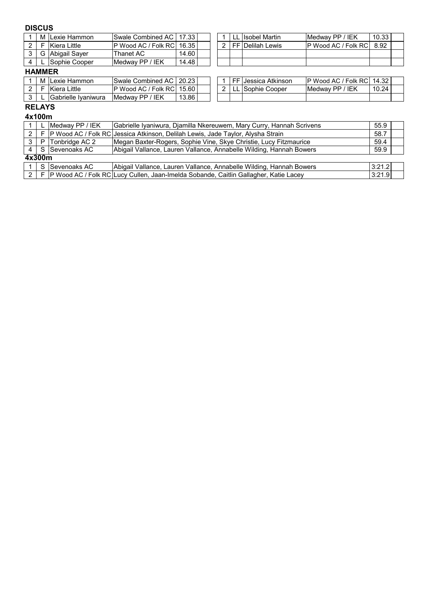#### **DISCUS**

| М | <sup>1</sup> ILexie Hammon | ISwale Combined AC I 17.33 I                |                    |  |   | ' LL | . Ilsobel Martin         | Medway PP / IEK       | 10.33 |  |
|---|----------------------------|---------------------------------------------|--------------------|--|---|------|--------------------------|-----------------------|-------|--|
|   | Kiera Little               | <b>P Wood AC / Folk RC 16.35</b>            |                    |  | ົ |      | <b>FF IDelilah Lewis</b> | IP Wood AC / Folk RCI | 8.92  |  |
| G | Abiqail Saver              | $\stackrel{\textsf{r}}{\textsf{h}}$ anet AC | 14.60              |  |   |      |                          |                       |       |  |
|   | ISophie Cooper             | <b>IMedway PP / IEK</b>                     | 14.48 <sub>1</sub> |  |   |      |                          |                       |       |  |
| . |                            |                                             |                    |  |   |      |                          |                       |       |  |

#### **HAMMER**

| м | ILexie Hammon       | <b>Swale Combined AC</b>                 | 20.23 |  | EE L | <b>IJessica Atkinson</b> | IP Wood AC / Folk RCI   | 14.32 |
|---|---------------------|------------------------------------------|-------|--|------|--------------------------|-------------------------|-------|
|   | Kiera Little        | <sup>I</sup> P Wood AC / Folk RC 15.60 L |       |  | --   | lSophie Cooper           | <b>IMedway PP / IEK</b> | 10.24 |
|   | Gabrielle Ivaniwura | IEK<br>Medway PP /                       | 13.86 |  |      |                          |                         |       |

|  | 1   FF   Jessica Atkinson | P Wood AC / Folk RC   14.32 |       |  |
|--|---------------------------|-----------------------------|-------|--|
|  | 2   LL Sophie Cooper      | Medway PP / IEK             | 10.24 |  |
|  |                           |                             |       |  |

#### **RELAYS 4x100m**

|             | TA IUVIII |                 |                                                                                        |        |  |
|-------------|-----------|-----------------|----------------------------------------------------------------------------------------|--------|--|
|             |           | Medway PP / IEK | Gabrielle Iyaniwura, Djamilla Nkereuwem, Mary Curry, Hannah Scrivens                   | 55.9   |  |
| 2           | l F       |                 | P Wood AC / Folk RC Jessica Atkinson, Delilah Lewis, Jade Taylor, Alysha Strain        | 58.7   |  |
| 3           | P         | Tonbridge AC 2  | Megan Baxter-Rogers, Sophie Vine, Skye Christie, Lucy Fitzmaurice                      | 59.4   |  |
| 4           |           | S Sevenoaks AC  | Abigail Vallance, Lauren Vallance, Annabelle Wilding, Hannah Bowers                    | 59.9   |  |
| 4x300m      |           |                 |                                                                                        |        |  |
|             | S         | Sevenoaks AC    | Abigail Vallance, Lauren Vallance, Annabelle Wilding, Hannah Bowers                    | 3:21.2 |  |
| $2^{\circ}$ |           |                 | F P Wood AC / Folk RC Lucy Cullen, Jaan-Imelda Sobande, Caitlin Gallagher, Katie Lacey | 3:21.9 |  |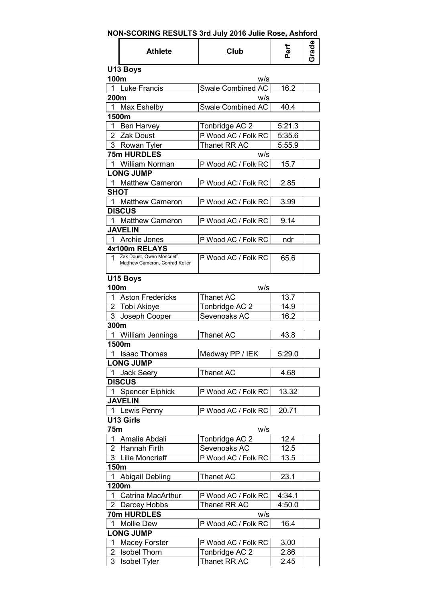|  | NON-SCORING RESULTS 3rd July 2016 Julie Rose, Ashford |  |  |  |
|--|-------------------------------------------------------|--|--|--|
|--|-------------------------------------------------------|--|--|--|

|                | <b>Athlete</b>                              | Club                | Perf   | Gpers |
|----------------|---------------------------------------------|---------------------|--------|-------|
| 100m           | U13 Boys                                    | w/s                 |        |       |
| 1              | Luke Francis                                | Swale Combined AC   | 16.2   |       |
| 200m           |                                             | w/s                 |        |       |
| $\mathbf{1}$   | Max Eshelby                                 | Swale Combined AC   | 40.4   |       |
|                | 1500m                                       |                     |        |       |
| 1              | Ben Harvey                                  | Tonbridge AC 2      | 5:21.3 |       |
| $\overline{2}$ | <b>Zak Doust</b>                            | P Wood AC / Folk RC | 5:35.6 |       |
| 3              | Rowan Tyler                                 | Thanet RR AC        | 5:55.9 |       |
|                | <b>75m HURDLES</b>                          | w/s                 |        |       |
| 1              | <b>William Norman</b>                       | P Wood AC / Folk RC | 15.7   |       |
|                | <b>LONG JUMP</b>                            |                     |        |       |
| $\mathbf{1}$   | Matthew Cameron                             | P Wood AC / Folk RC | 2.85   |       |
| <b>SHOT</b>    |                                             |                     |        |       |
| $\mathbf{1}$   | <b>Matthew Cameron</b>                      | P Wood AC / Folk RC | 3.99   |       |
|                |                                             |                     |        |       |
|                | <b>DISCUS</b>                               |                     |        |       |
| $\mathbf 1$    | <b>Matthew Cameron</b>                      | P Wood AC / Folk RC | 9.14   |       |
|                | <b>JAVELIN</b>                              |                     |        |       |
| 1              | <b>Archie Jones</b>                         | P Wood AC / Folk RC | ndr    |       |
|                | 4x100m RELAYS<br>Zak Doust, Owen Moncrieff, |                     |        |       |
| 1              | Matthew Cameron, Conrad Keller              | P Wood AC / Folk RC | 65.6   |       |
|                |                                             |                     |        |       |
|                | U15 Boys                                    |                     |        |       |
| 100m           |                                             | W/S                 |        |       |
| 1              | <b>Aston Fredericks</b>                     | <b>Thanet AC</b>    | 13.7   |       |
| $\overline{2}$ | Tobi Akioye                                 | Tonbridge AC 2      | 14.9   |       |
| 3              | Joseph Cooper                               | Sevenoaks AC        | 16.2   |       |
| 300m           |                                             |                     |        |       |
| 1              | <b>William Jennings</b>                     | <b>Thanet AC</b>    | 43.8   |       |
|                | 1500m                                       |                     |        |       |
| 1              | <b>Isaac Thomas</b>                         | Medway PP / IEK     | 5:29.0 |       |
|                | <b>LONG JUMP</b>                            |                     |        |       |
| 1              | <b>Jack Seery</b>                           | <b>Thanet AC</b>    | 4.68   |       |
|                | <b>DISCUS</b>                               |                     |        |       |
| $\mathbf{1}$   | <b>Spencer Elphick</b>                      | P Wood AC / Folk RC | 13.32  |       |
|                | <b>JAVELIN</b>                              |                     |        |       |
| $\mathbf{1}$   | Lewis Penny                                 | P Wood AC / Folk RC | 20.71  |       |
|                | U13 Girls                                   |                     |        |       |
| 75m            |                                             | w/s                 |        |       |
| 1              | Amalie Abdali                               | Tonbridge AC 2      | 12.4   |       |
| $\overline{2}$ | Hannah Firth                                | Sevenoaks AC        | 12.5   |       |
| 3              | <b>Lilie Moncrieff</b>                      | P Wood AC / Folk RC | 13.5   |       |
| 150m           |                                             |                     |        |       |
| 1              | <b>Abigail Debling</b>                      | Thanet AC           | 23.1   |       |
|                | 1200m                                       |                     |        |       |
| 1              | Catrina MacArthur                           | P Wood AC / Folk RC | 4:34.1 |       |
| $\overline{2}$ | Darcey Hobbs                                | Thanet RR AC        | 4:50.0 |       |
|                | 70m HURDLES                                 | W/S                 |        |       |
| $\mathbf 1$    | <b>Mollie Dew</b>                           | P Wood AC / Folk RC | 16.4   |       |
|                | <b>LONG JUMP</b>                            |                     |        |       |
| 1              | Macey Forster                               | P Wood AC / Folk RC | 3.00   |       |
| 2              | <b>Isobel Thorn</b>                         | Tonbridge AC 2      | 2.86   |       |
| 3              | <b>Isobel Tyler</b>                         | Thanet RR AC        | 2.45   |       |
|                |                                             |                     |        |       |